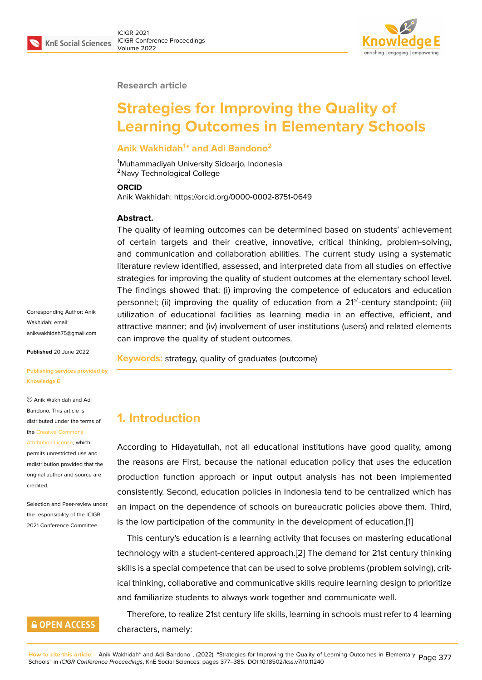#### **Research article**

# **Strategies for Improving the Quality of Learning Outcomes in Elementary Schools**

#### **Anik Wakhidah<sup>1</sup> \* and Adi Bandono<sup>2</sup>**

<sup>1</sup>Muhammadiyah University Sidoarjo, Indonesia <sup>2</sup>Navy Technological College

#### **ORCID**

Anik Wakhidah: https://orcid.org/0000-0002-8751-0649

#### **Abstract.**

The quality of learning outcomes can be determined based on students' achievement of certain targets and their creative, innovative, critical thinking, problem-solving, and communication and collaboration abilities. The current study using a systematic literature review identified, assessed, and interpreted data from all studies on effective strategies for improving the quality of student outcomes at the elementary school level. The findings showed that: (i) improving the competence of educators and education personnel; (ii) improving the quality of education from a  $21^{st}$ -century standpoint; (iii) utilization of educational facilities as learning media in an effective, efficient, and attractive manner; and (iv) involvement of user institutions (users) and related elements can improve the quality of student outcomes.

**Keywords:** strategy, quality of graduates (outcome)

Corresponding Author: Anik Wakhidah; email: anikwakhidah75@gmail.com

**Published** 20 June 2022

**[Publishing services provide](mailto:anikwakhidah75@gmail.com)d by Knowledge E**

Anik Wakhidah and Adi Bandono. This article is distributed under the terms of the Creative Commons

Attribution License, which permits unrestricted use and redistribution provided that the orig[inal author and sou](https://creativecommons.org/licenses/by/4.0/)rce are [credited.](https://creativecommons.org/licenses/by/4.0/)

Selection and Peer-review under the responsibility of the ICIGR 2021 Conference Committee.

### **GOPEN ACCESS**

**1. Introduction**

According to Hidayatullah, not all educational institutions have good quality, among the reasons are First, because the national education policy that uses the education production function approach or input output analysis has not been implemented consistently. Second, education policies in Indonesia tend to be centralized which has an impact on the dependence of schools on bureaucratic policies above them. Third, is the low participation of the community in the development of education.[1]

This century's education is a learning activity that focuses on mastering educational technology with a student-centered approach.[2] The demand for 21st century thinking skills is a special competence that can be used to solve problems (problem [so](#page-6-0)lving), critical thinking, collaborative and communicative skills require learning design to prioritize and familiarize students to always work togeth[er](#page-6-1) and communicate well.

Therefore, to realize 21st century life skills, learning in schools must refer to 4 learning characters, namely: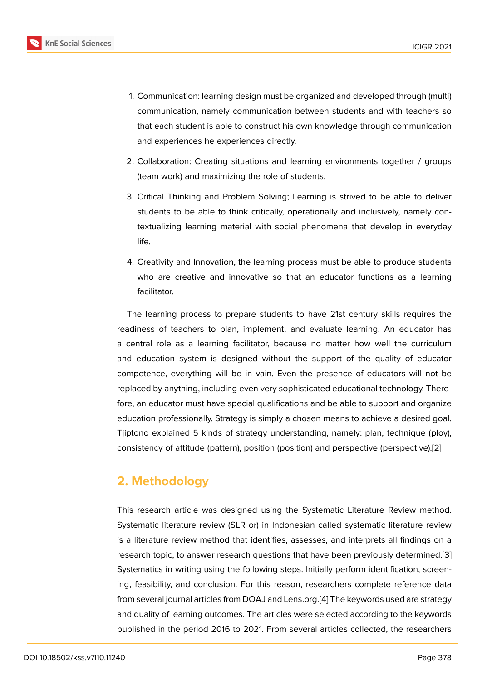- 1. Communication: learning design must be organized and developed through (multi) communication, namely communication between students and with teachers so that each student is able to construct his own knowledge through communication and experiences he experiences directly.
- 2. Collaboration: Creating situations and learning environments together / groups (team work) and maximizing the role of students.
- 3. Critical Thinking and Problem Solving; Learning is strived to be able to deliver students to be able to think critically, operationally and inclusively, namely contextualizing learning material with social phenomena that develop in everyday life.
- 4. Creativity and Innovation, the learning process must be able to produce students who are creative and innovative so that an educator functions as a learning facilitator.

The learning process to prepare students to have 21st century skills requires the readiness of teachers to plan, implement, and evaluate learning. An educator has a central role as a learning facilitator, because no matter how well the curriculum and education system is designed without the support of the quality of educator competence, everything will be in vain. Even the presence of educators will not be replaced by anything, including even very sophisticated educational technology. Therefore, an educator must have special qualifications and be able to support and organize education professionally. Strategy is simply a chosen means to achieve a desired goal. Tjiptono explained 5 kinds of strategy understanding, namely: plan, technique (ploy), consistency of attitude (pattern), position (position) and perspective (perspective).[2]

## **2. Methodology**

This research article was designed using the Systematic Literature Review method. Systematic literature review (SLR or) in Indonesian called systematic literature review is a literature review method that identifies, assesses, and interprets all findings on a research topic, to answer research questions that have been previously determined.[3] Systematics in writing using the following steps. Initially perform identification, screening, feasibility, and conclusion. For this reason, researchers complete reference data from several journal articles from DOAJ and Lens.org.[4] The keywords used are strate[gy](#page-6-2) and quality of learning outcomes. The articles were selected according to the keywords published in the period 2016 to 2021. From several articles collected, the researchers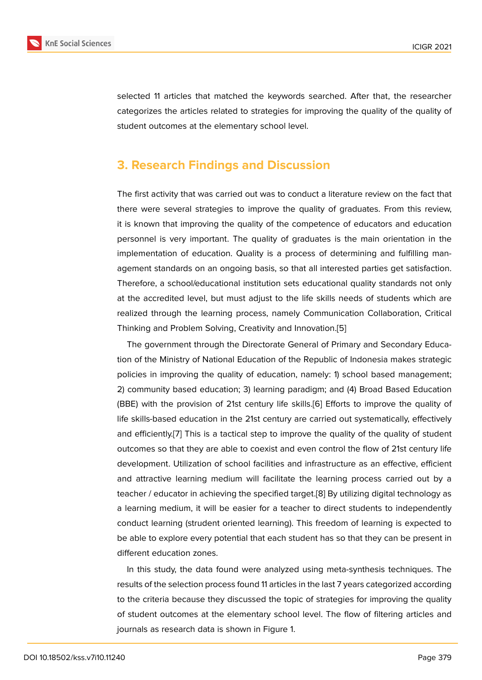selected 11 articles that matched the keywords searched. After that, the researcher categorizes the articles related to strategies for improving the quality of the quality of student outcomes at the elementary school level.

### **3. Research Findings and Discussion**

The first activity that was carried out was to conduct a literature review on the fact that there were several strategies to improve the quality of graduates. From this review, it is known that improving the quality of the competence of educators and education personnel is very important. The quality of graduates is the main orientation in the implementation of education. Quality is a process of determining and fulfilling management standards on an ongoing basis, so that all interested parties get satisfaction. Therefore, a school/educational institution sets educational quality standards not only at the accredited level, but must adjust to the life skills needs of students which are realized through the learning process, namely Communication Collaboration, Critical Thinking and Problem Solving, Creativity and Innovation.[5]

The government through the Directorate General of Primary and Secondary Education of the Ministry of National Education of the Republic of Indonesia makes strategic policies in improving the quality of education, namely: 1[\) s](#page-6-3)chool based management; 2) community based education; 3) learning paradigm; and (4) Broad Based Education (BBE) with the provision of 21st century life skills.[6] Efforts to improve the quality of life skills-based education in the 21st century are carried out systematically, effectively and efficiently.[7] This is a tactical step to improve the quality of the quality of student outcomes so that they are able to coexist and eve[n c](#page-6-4)ontrol the flow of 21st century life development. Utilization of school facilities and infrastructure as an effective, efficient and attractive [le](#page-7-0)arning medium will facilitate the learning process carried out by a teacher / educator in achieving the specified target.[8] By utilizing digital technology as a learning medium, it will be easier for a teacher to direct students to independently conduct learning (strudent oriented learning). This freedom of learning is expected to be able to explore every potential that each student [h](#page-7-1)as so that they can be present in different education zones.

In this study, the data found were analyzed using meta-synthesis techniques. The results of the selection process found 11 articles in the last 7 years categorized according to the criteria because they discussed the topic of strategies for improving the quality of student outcomes at the elementary school level. The flow of filtering articles and journals as research data is shown in Figure 1.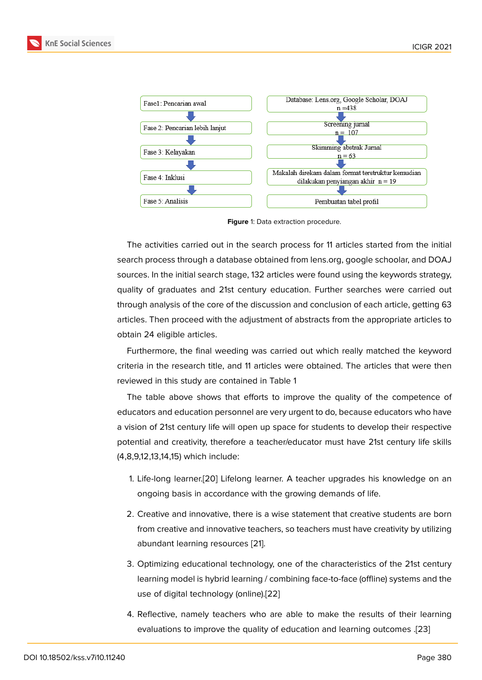

**Figure** 1: Data extraction procedure.

The activities carried out in the search process for 11 articles started from the initial search process through a database obtained from lens.org, google schoolar, and DOAJ sources. In the initial search stage, 132 articles were found using the keywords strategy, quality of graduates and 21st century education. Further searches were carried out through analysis of the core of the discussion and conclusion of each article, getting 63 articles. Then proceed with the adjustment of abstracts from the appropriate articles to obtain 24 eligible articles.

Furthermore, the final weeding was carried out which really matched the keyword criteria in the research title, and 11 articles were obtained. The articles that were then reviewed in this study are contained in Table 1

The table above shows that efforts to improve the quality of the competence of educators and education personnel are very urgent to do, because educators who have a vision of 21st century life will open up space for students to develop their respective potential and creativity, therefore a teacher/educator must have 21st century life skills (4,8,9,12,13,14,15) which include:

- 1. Life-long learner.[20] Lifelong learner. A teacher upgrades his knowledge on an ongoing basis in accordance with the growing demands of life.
- 2. Creative and inn[ovat](#page-8-0)ive, there is a wise statement that creative students are born from creative and innovative teachers, so teachers must have creativity by utilizing abundant learning resources [21].
- 3. Optimizing educational technology, one of the characteristics of the 21st century learning model is hybrid learni[ng](#page-8-1) / combining face-to-face (offline) systems and the use of digital technology (online).[22]
- 4. Reflective, namely teachers who are able to make the results of their learning evaluations to improve the qualit[y of](#page-8-2) education and learning outcomes .[23]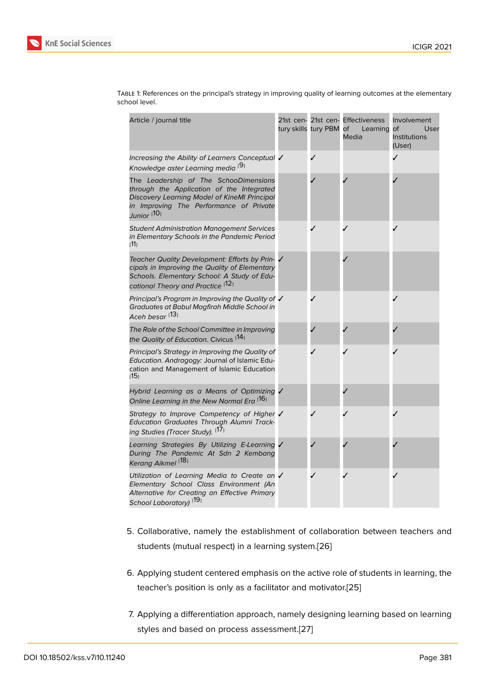| Article / journal title                                                                                                                                                                         | tury skills tury PBM | 21st cen- 21st cen- Effectiveness<br>of<br>Learning<br>Media | Involvement<br>of<br>User<br>Institutions<br>(User) |
|-------------------------------------------------------------------------------------------------------------------------------------------------------------------------------------------------|----------------------|--------------------------------------------------------------|-----------------------------------------------------|
| Increasing the Ability of Learners Conceptual V<br>Knowledge aster Learning media <sup>[9]</sup>                                                                                                | J                    |                                                              |                                                     |
| The Leadership of The SchooDimensions<br>through the Application of the Integrated<br>Discovery Learning Model of KineMI Principal<br>in Improving The Performance of Private<br>Junior [10]    |                      |                                                              |                                                     |
| <b>Student Administration Management Services</b><br>in Elementary Schools in the Pandemic Period<br>ו11⊺                                                                                       |                      |                                                              |                                                     |
| Teacher Quality Development: Efforts by Prin- V<br>cipals in Improving the Quality of Elementary<br>Schools. Elementary School: A Study of Edu-<br>cational Theory and Practice <sup>[12]</sup> |                      |                                                              |                                                     |
| Principal's Program in Improving the Quality of √<br>Graduates at Babul Magfirah Middle School in<br>Aceh besar <sup>[13]</sup>                                                                 |                      |                                                              |                                                     |
| The Role of the School Committee in Improving<br>the Quality of Education. Civicus <sup>[14]</sup>                                                                                              |                      |                                                              |                                                     |
| Principal's Strategy in Improving the Quality of<br>Education. Andragogy: Journal of Islamic Edu-<br>cation and Management of Islamic Education<br>⊺15ן                                         |                      |                                                              |                                                     |
| Hybrid Learning as a Means of Optimizing V<br>Online Learning in the New Normal Era [16]                                                                                                        |                      |                                                              |                                                     |
| Strategy to Improve Competency of Higher V<br>Education Graduates Through Alumni Track-<br>ing Studies (Tracer Study). <sup>[17]</sup>                                                          |                      |                                                              |                                                     |
| Learning Strategies By Utilizing E-Learning V<br>During The Pandemic At Sdn 2 Kembang<br>Kerang Aikmel <sup>[18]</sup>                                                                          |                      |                                                              |                                                     |
| Utilization of Learning Media to Create an V<br>Elementary School Class Environment (An<br>Alternative for Creating an Effective Primary<br>School Laboratory) <sup>[19</sup> ]                 |                      |                                                              |                                                     |

Table 1: References on the principal's strategy in improving quality of learning outcomes at the elementary school level.

- 5. Collaborative, namely the establishment of collaboration between teachers and students (mut[ual](#page-8-4) respect) in a learning system.[26]
- 6. Applying student centered emphasis on the active role of students in learning, the teacher's position is only as a facilitator and m[otiv](#page-8-5)ator.[25]
- 7. Applying a differentiation approach, namely designing learning based on learning styles and based on process assessment.[27]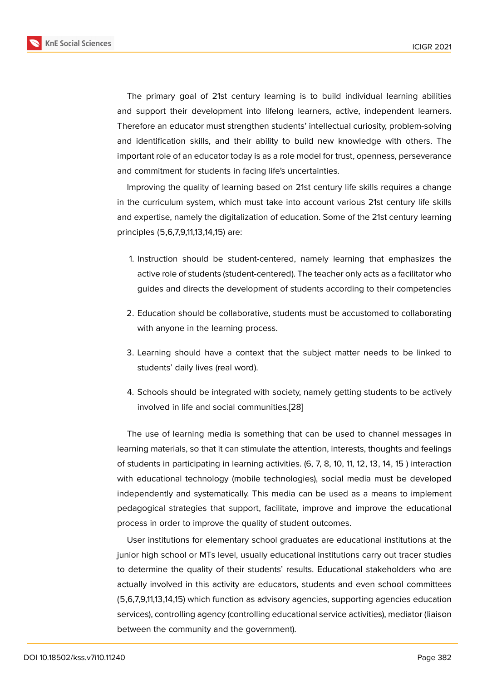The primary goal of 21st century learning is to build individual learning abilities and support their development into lifelong learners, active, independent learners. Therefore an educator must strengthen students' intellectual curiosity, problem-solving and identification skills, and their ability to build new knowledge with others. The important role of an educator today is as a role model for trust, openness, perseverance and commitment for students in facing life's uncertainties.

Improving the quality of learning based on 21st century life skills requires a change in the curriculum system, which must take into account various 21st century life skills and expertise, namely the digitalization of education. Some of the 21st century learning principles (5,6,7,9,11,13,14,15) are:

- 1. Instruction should be student-centered, namely learning that emphasizes the active role of students (student-centered). The teacher only acts as a facilitator who guides and directs the development of students according to their competencies
- 2. Education should be collaborative, students must be accustomed to collaborating with anyone in the learning process.
- 3. Learning should have a context that the subject matter needs to be linked to students' daily lives (real word).
- 4. Schools should be integrated with society, namely getting students to be actively involved in life and social communities.[28]

The use of learning media is something that can be used to channel messages in learning materials, so that it can stimulate the [att](#page-8-6)ention, interests, thoughts and feelings of students in participating in learning activities. (6, 7, 8, 10, 11, 12, 13, 14, 15 ) interaction with educational technology (mobile technologies), social media must be developed independently and systematically. This media can be used as a means to implement pedagogical strategies that support, facilitate, improve and improve the educational process in order to improve the quality of student outcomes.

User institutions for elementary school graduates are educational institutions at the junior high school or MTs level, usually educational institutions carry out tracer studies to determine the quality of their students' results. Educational stakeholders who are actually involved in this activity are educators, students and even school committees (5,6,7,9,11,13,14,15) which function as advisory agencies, supporting agencies education services), controlling agency (controlling educational service activities), mediator (liaison between the community and the government).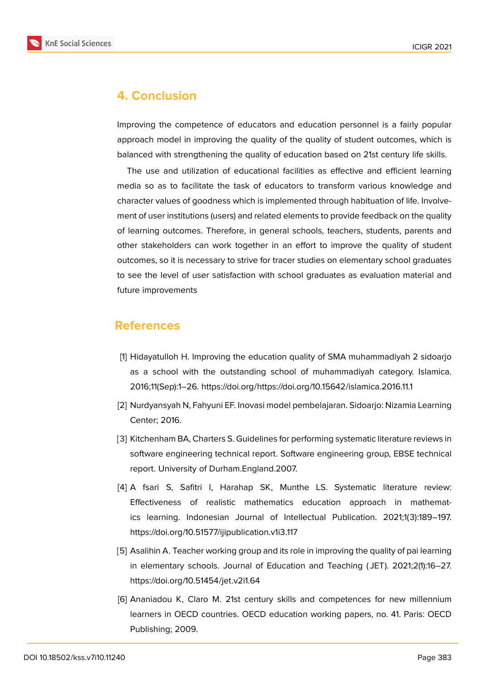

### **4. Conclusion**

Improving the competence of educators and education personnel is a fairly popular approach model in improving the quality of the quality of student outcomes, which is balanced with strengthening the quality of education based on 21st century life skills.

The use and utilization of educational facilities as effective and efficient learning media so as to facilitate the task of educators to transform various knowledge and character values of goodness which is implemented through habituation of life. Involvement of user institutions (users) and related elements to provide feedback on the quality of learning outcomes. Therefore, in general schools, teachers, students, parents and other stakeholders can work together in an effort to improve the quality of student outcomes, so it is necessary to strive for tracer studies on elementary school graduates to see the level of user satisfaction with school graduates as evaluation material and future improvements

### **References**

- <span id="page-6-0"></span>[1] Hidayatulloh H. Improving the education quality of SMA muhammadiyah 2 sidoarjo as a school with the outstanding school of muhammadiyah category. Islamica. 2016;11(Sep):1–26. https://doi.org/https://doi.org/10.15642/islamica.2016.11.1
- <span id="page-6-1"></span>[2] Nurdyansyah N, Fahyuni EF. Inovasi model pembelajaran. Sidoarjo: Nizamia Learning Center; 2016.
- <span id="page-6-2"></span>[3] Kitchenham BA, Charters S. Guidelines for performing systematic literature reviews in software engineering technical report. Software engineering group, EBSE technical report. University of Durham.England.2007.
- [4] A fsari S, Safitri I, Harahap SK, Munthe LS. Systematic literature review: Effectiveness of realistic mathematics education approach in mathematics learning. Indonesian Journal of Intellectual Publication. 2021;1(3):189–197. https://doi.org/10.51577/ijipublication.v1i3.117
- <span id="page-6-3"></span>[5] Asalihin A. Teacher working group and its role in improving the quality of pai learning in elementary schools. Journal of Education and Teaching ( JET). 2021;2(1):16–27. https://doi.org/10.51454/jet.v2i1.64
- <span id="page-6-4"></span>[6] Ananiadou K, Claro M. 21st century skills and competences for new millennium learners in OECD countries. OECD education working papers, no. 41. Paris: OECD Publishing; 2009.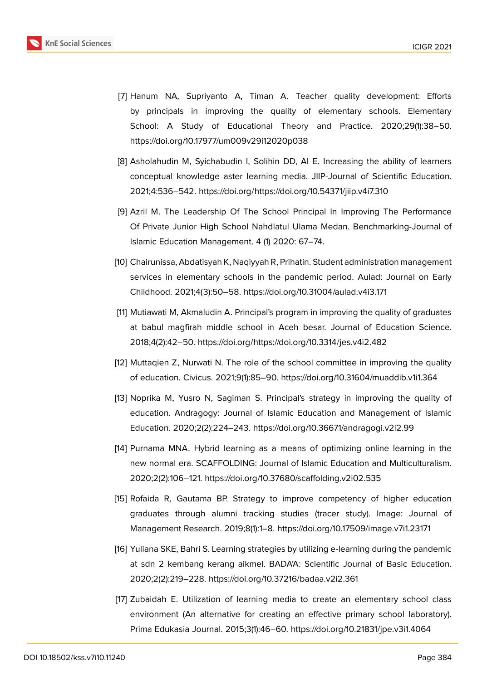

- <span id="page-7-0"></span>[7] Hanum NA, Supriyanto A, Timan A. Teacher quality development: Efforts by principals in improving the quality of elementary schools. Elementary School: A Study of Educational Theory and Practice. 2020;29(1):38–50. https://doi.org/10.17977/um009v29i12020p038
- <span id="page-7-1"></span>[8] Asholahudin M, Syichabudin I, Solihin DD, Al E. Increasing the ability of learners conceptual knowledge aster learning media. JIIP-Journal of Scientific Education. 2021;4:536–542. https://doi.org/https://doi.org/10.54371/jiip.v4i7.310
- <span id="page-7-2"></span>[9] Azril M. The Leadership Of The School Principal In Improving The Performance Of Private Junior High School Nahdlatul Ulama Medan. Benchmarking-Journal of Islamic Education Management. 4 (1) 2020: 67–74.
- <span id="page-7-3"></span>[10] Chairunissa, Abdatisyah K, Naqiyyah R, Prihatin. Student administration management services in elementary schools in the pandemic period. Aulad: Journal on Early Childhood. 2021;4(3):50–58. https://doi.org/10.31004/aulad.v4i3.171
- <span id="page-7-4"></span>[11] Mutiawati M, Akmaludin A. Principal's program in improving the quality of graduates at babul magfirah middle school in Aceh besar. Journal of Education Science. 2018;4(2):42–50. https://doi.org/https://doi.org/10.3314/jes.v4i2.482
- <span id="page-7-5"></span>[12] Muttaqien Z, Nurwati N. The role of the school committee in improving the quality of education. Civicus. 2021;9(1):85–90. https://doi.org/10.31604/muaddib.v1i1.364
- <span id="page-7-6"></span>[13] Noprika M, Yusro N, Sagiman S. Principal's strategy in improving the quality of education. Andragogy: Journal of Islamic Education and Management of Islamic Education. 2020;2(2):224–243. https://doi.org/10.36671/andragogi.v2i2.99
- [14] Purnama MNA. Hybrid learning as a means of optimizing online learning in the new normal era. SCAFFOLDING: Journal of Islamic Education and Multiculturalism. 2020;2(2):106–121. https://doi.org/10.37680/scaffolding.v2i02.535
- <span id="page-7-7"></span>[15] Rofaida R, Gautama BP. Strategy to improve competency of higher education graduates through alumni tracking studies (tracer study). Image: Journal of Management Research. 2019;8(1):1–8. https://doi.org/10.17509/image.v7i1.23171
- <span id="page-7-8"></span>[16] Yuliana SKE, Bahri S. Learning strategies by utilizing e-learning during the pandemic at sdn 2 kembang kerang aikmel. BADA'A: Scientific Journal of Basic Education. 2020;2(2):219–228. https://doi.org/10.37216/badaa.v2i2.361
- <span id="page-7-9"></span>[17] Zubaidah E. Utilization of learning media to create an elementary school class environment (An alternative for creating an effective primary school laboratory). Prima Edukasia Journal. 2015;3(1):46–60. https://doi.org/10.21831/jpe.v3i1.4064